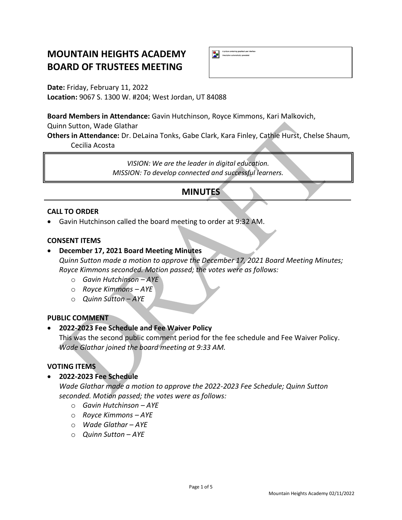# **MOUNTAIN HEIGHTS ACADEMY BOARD OF TRUSTEES MEETING**

**Date:** Friday, February 11, 2022 **Location:** 9067 S. 1300 W. #204; West Jordan, UT 84088

**Board Members in Attendance:** Gavin Hutchinson, Royce Kimmons, Kari Malkovich,

Quinn Sutton, Wade Glathar

**Others in Attendance:** Dr. DeLaina Tonks, Gabe Clark, Kara Finley, Cathie Hurst, Chelse Shaum, Cecilia Acosta

A picture containing graphical user<br>Description automatically generated

*VISION: We are the leader in digital education. MISSION: To develop connected and successful learners.*

## **MINUTES**

## **CALL TO ORDER**

• Gavin Hutchinson called the board meeting to order at 9:32 AM.

#### **CONSENT ITEMS**

## • **December 17, 2021 Board Meeting Minutes**

*Quinn Sutton made a motion to approve the December 17, 2021 Board Meeting Minutes; Royce Kimmons seconded. Motion passed; the votes were as follows:*

- o *Gavin Hutchinson – AYE*
- o *Royce Kimmons – AYE*
- o *Quinn Sutton – AYE*

#### **PUBLIC COMMENT**

## • **2022-2023 Fee Schedule and Fee Waiver Policy**

This was the second public comment period for the fee schedule and Fee Waiver Policy. *Wade Glathar joined the board meeting at 9:33 AM.*

## **VOTING ITEMS**

• **2022-2023 Fee Schedule**

*Wade Glathar made a motion to approve the 2022-2023 Fee Schedule; Quinn Sutton seconded. Motion passed; the votes were as follows:*

- o *Gavin Hutchinson – AYE*
- o *Royce Kimmons – AYE*
- o *Wade Glathar – AYE*
- o *Quinn Sutton – AYE*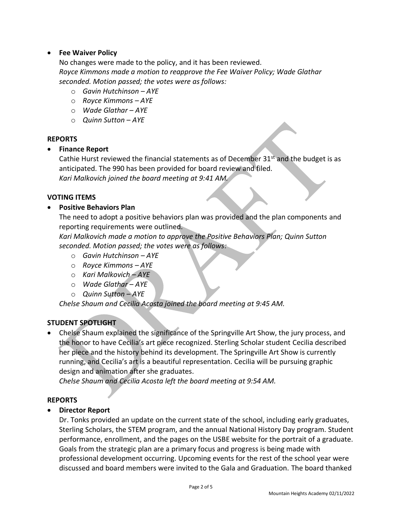## • **Fee Waiver Policy**

No changes were made to the policy, and it has been reviewed. *Royce Kimmons made a motion to reapprove the Fee Waiver Policy; Wade Glathar seconded. Motion passed; the votes were as follows:*

- o *Gavin Hutchinson – AYE*
- o *Royce Kimmons – AYE*
- o *Wade Glathar – AYE*
- o *Quinn Sutton – AYE*

#### **REPORTS**

## • **Finance Report**

Cathie Hurst reviewed the financial statements as of December  $31<sup>st</sup>$  and the budget is as anticipated. The 990 has been provided for board review and filed.

*Kari Malkovich joined the board meeting at 9:41 AM.*

## **VOTING ITEMS**

## • **Positive Behaviors Plan**

The need to adopt a positive behaviors plan was provided and the plan components and reporting requirements were outlined.

*Kari Malkovich made a motion to approve the Positive Behaviors Plan; Quinn Sutton seconded. Motion passed; the votes were as follows:*

- o *Gavin Hutchinson – AYE*
- o *Royce Kimmons – AYE*
- o *Kari Malkovich – AYE*
- o *Wade Glathar – AYE*
- o *Quinn Sutton – AYE*

*Chelse Shaum and Cecilia Acosta joined the board meeting at 9:45 AM.*

## **STUDENT SPOTLIGHT**

• Chelse Shaum explained the significance of the Springville Art Show, the jury process, and the honor to have Cecilia's art piece recognized. Sterling Scholar student Cecilia described her piece and the history behind its development. The Springville Art Show is currently running, and Cecilia's art is a beautiful representation. Cecilia will be pursuing graphic design and animation after she graduates.

*Chelse Shaum and Cecilia Acosta left the board meeting at 9:54 AM.*

#### **REPORTS**

## • **Director Report**

Dr. Tonks provided an update on the current state of the school, including early graduates, Sterling Scholars, the STEM program, and the annual National History Day program. Student performance, enrollment, and the pages on the USBE website for the portrait of a graduate. Goals from the strategic plan are a primary focus and progress is being made with professional development occurring. Upcoming events for the rest of the school year were discussed and board members were invited to the Gala and Graduation. The board thanked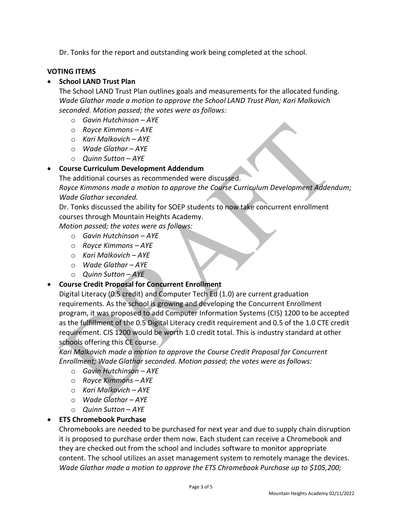Dr. Tonks for the report and outstanding work being completed at the school.

## **VOTING ITEMS**

## • **School LAND Trust Plan**

The School LAND Trust Plan outlines goals and measurements for the allocated funding. *Wade Glathar made a motion to approve the School LAND Trust Plan; Kari Malkovich seconded. Motion passed; the votes were as follows:*

- o *Gavin Hutchinson – AYE*
- o *Royce Kimmons – AYE*
- o *Kari Malkovich – AYE*
- o *Wade Glathar – AYE*
- o *Quinn Sutton – AYE*

## • **Course Curriculum Development Addendum**

The additional courses as recommended were discussed.

*Royce Kimmons made a motion to approve the Course Curriculum Development Addendum; Wade Glathar seconded.* 

Dr. Tonks discussed the ability for SOEP students to now take concurrent enrollment courses through Mountain Heights Academy.

*Motion passed; the votes were as follows:*

- o *Gavin Hutchinson – AYE*
- o *Royce Kimmons – AYE*
- o *Kari Malkovich – AYE*
- o *Wade Glathar – AYE*
- o *Quinn Sutton – AYE*

## • **Course Credit Proposal for Concurrent Enrollment**

Digital Literacy (0.5 credit) and Computer Tech Ed (1.0) are current graduation requirements. As the school is growing and developing the Concurrent Enrollment program, it was proposed to add Computer Information Systems (CIS) 1200 to be accepted as the fulfillment of the 0.5 Digital Literacy credit requirement and 0.5 of the 1.0 CTE credit requirement. CIS 1200 would be worth 1.0 credit total. This is industry standard at other schools offering this CE course.

*Kari Malkovich made a motion to approve the Course Credit Proposal for Concurrent Enrollment; Wade Glathar seconded. Motion passed; the votes were as follows:*

- o *Gavin Hutchinson – AYE*
- o *Royce Kimmons – AYE*
- o *Kari Malkovich – AYE*
- o *Wade Glathar – AYE*
- o *Quinn Sutton – AYE*

## • **ETS Chromebook Purchase**

Chromebooks are needed to be purchased for next year and due to supply chain disruption it is proposed to purchase order them now. Each student can receive a Chromebook and they are checked out from the school and includes software to monitor appropriate content. The school utilizes an asset management system to remotely manage the devices. *Wade Glathar made a motion to approve the ETS Chromebook Purchase up to \$105,200;*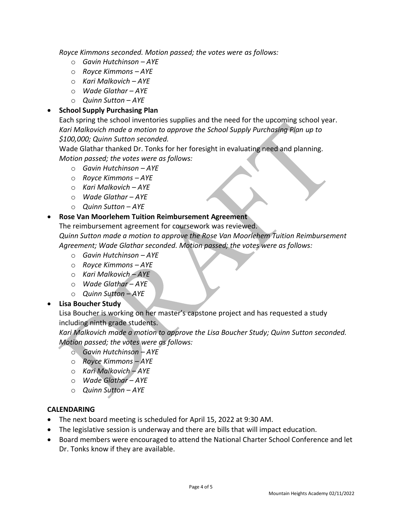*Royce Kimmons seconded. Motion passed; the votes were as follows:*

- o *Gavin Hutchinson – AYE*
- o *Royce Kimmons – AYE*
- o *Kari Malkovich – AYE*
- o *Wade Glathar – AYE*
- o *Quinn Sutton – AYE*

## • **School Supply Purchasing Plan**

Each spring the school inventories supplies and the need for the upcoming school year. *Kari Malkovich made a motion to approve the School Supply Purchasing Plan up to \$100,000; Quinn Sutton seconded.* 

Wade Glathar thanked Dr. Tonks for her foresight in evaluating need and planning. *Motion passed; the votes were as follows:*

- o *Gavin Hutchinson – AYE*
- o *Royce Kimmons – AYE*
- o *Kari Malkovich – AYE*
- o *Wade Glathar – AYE*
- o *Quinn Sutton – AYE*

## • **Rose Van Moorlehem Tuition Reimbursement Agreement**

The reimbursement agreement for coursework was reviewed. *Quinn Sutton made a motion to approve the Rose Van Moorlehem Tuition Reimbursement Agreement; Wade Glathar seconded. Motion passed; the votes were as follows:*

- o *Gavin Hutchinson – AYE*
- o *Royce Kimmons – AYE*
- o *Kari Malkovich – AYE*
- o *Wade Glathar – AYE*
- o *Quinn Sutton – AYE*

## • **Lisa Boucher Study**

Lisa Boucher is working on her master's capstone project and has requested a study including ninth grade students.

*Kari Malkovich made a motion to approve the Lisa Boucher Study; Quinn Sutton seconded. Motion passed; the votes were as follows:*

- o *Gavin Hutchinson – AYE*
- o *Royce Kimmons – AYE*
- o *Kari Malkovich – AYE*
- o *Wade Glathar – AYE*
- o *Quinn Sutton – AYE*

## **CALENDARING**

- The next board meeting is scheduled for April 15, 2022 at 9:30 AM.
- The legislative session is underway and there are bills that will impact education.
- Board members were encouraged to attend the National Charter School Conference and let Dr. Tonks know if they are available.